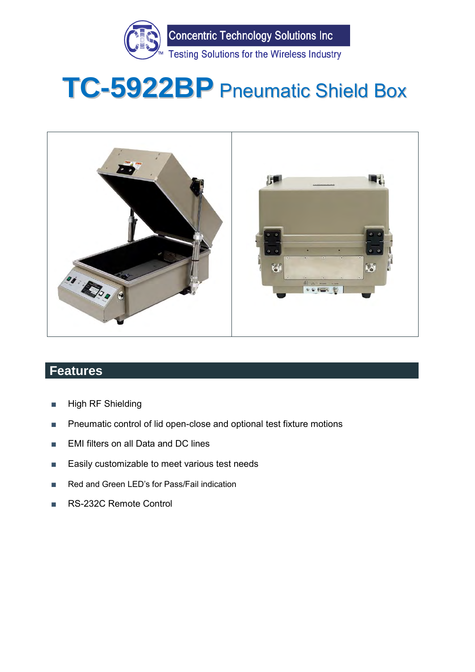

# **TC-5922BP** Pneumatic Shield Box



## **Features**

- High RF Shielding
- Pneumatic control of lid open-close and optional test fixture motions
- EMI filters on all Data and DC lines
- Easily customizable to meet various test needs
- Red and Green LED's for Pass/Fail indication
- RS-232C Remote Control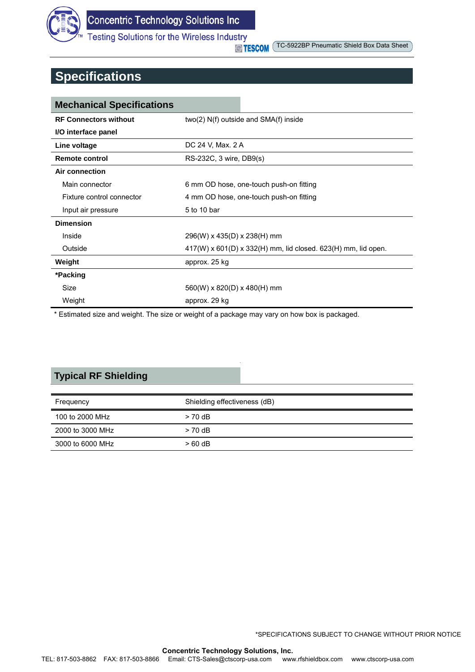

TC-5922BP Pneumatic Shield Box Data Sheet

## **Specifications**

| <b>Mechanical Specifications</b> |                                                                 |  |
|----------------------------------|-----------------------------------------------------------------|--|
| <b>RF Connectors without</b>     | two(2) N(f) outside and SMA(f) inside                           |  |
| I/O interface panel              |                                                                 |  |
| Line voltage                     | DC 24 V, Max. 2 A                                               |  |
| <b>Remote control</b>            | RS-232C, 3 wire, DB9(s)                                         |  |
| Air connection                   |                                                                 |  |
| Main connector                   | 6 mm OD hose, one-touch push-on fitting                         |  |
| Fixture control connector        | 4 mm OD hose, one-touch push-on fitting                         |  |
| Input air pressure               | 5 to 10 bar                                                     |  |
| <b>Dimension</b>                 |                                                                 |  |
| Inside                           | 296(W) x 435(D) x 238(H) mm                                     |  |
| Outside                          | $417(W)$ x 601(D) x 332(H) mm, lid closed. 623(H) mm, lid open. |  |
| Weight                           | approx. 25 kg                                                   |  |
| *Packing                         |                                                                 |  |
| Size                             | $560(W)$ x 820(D) x 480(H) mm                                   |  |
| Weight                           | approx. 29 kg                                                   |  |

\* Estimated size and weight. The size or weight of a package may vary on how box is packaged.

## **Typical RF Shielding**

| Frequency        | Shielding effectiveness (dB) |  |
|------------------|------------------------------|--|
| 100 to 2000 MHz  | $> 70$ dB                    |  |
| 2000 to 3000 MHz | $> 70$ dB                    |  |
| 3000 to 6000 MHz | $>60$ dB                     |  |

\*SPECIFICATIONS SUBJECT TO CHANGE WITHOUT PRIOR NOTICE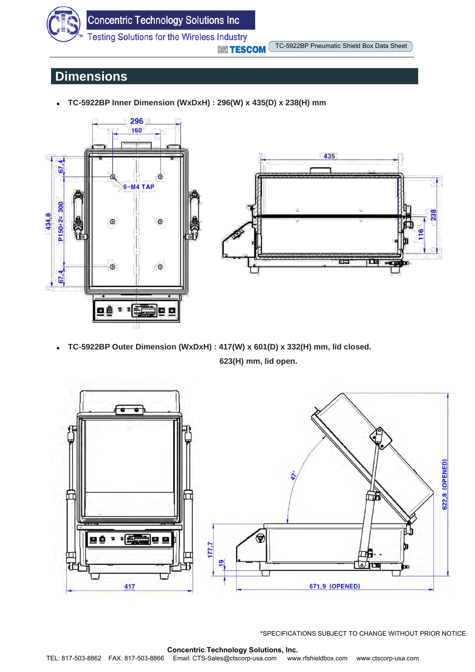

 TC-5922BP Pneumatic Shield Box Data Sheet **TESCOM** 

## **Dimensions**

**TC-5922BP Inner Dimension (WxDxH) : 296(W) x 435(D) x 238(H) mm** 





 **TC-5922BP Outer Dimension (WxDxH) : 417(W) x 601(D) x 332(H) mm, lid closed. 623(H) mm, lid open.**



\*SPECIFICATIONS SUBJECT TO CHANGE WITHOUT PRIOR NOTICE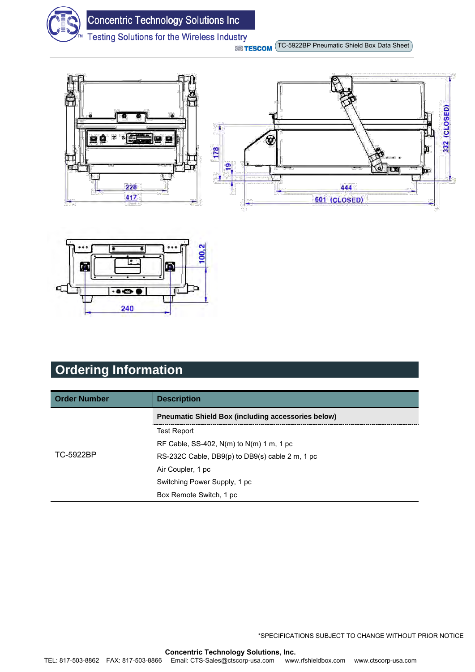

 TC-5922BP Pneumatic Shield Box Data Sheet **STESCOM** 





# **Ordering Information**

| <b>Order Number</b> | <b>Description</b>                                        |
|---------------------|-----------------------------------------------------------|
|                     | <b>Preumatic Shield Box (including accessories below)</b> |
|                     | <b>Test Report</b>                                        |
|                     | RF Cable, SS-402, $N(m)$ to $N(m)$ 1 m, 1 pc              |
| TC-5922BP           | RS-232C Cable, DB9(p) to DB9(s) cable 2 m, 1 pc           |
|                     | Air Coupler, 1 pc                                         |
|                     | Switching Power Supply, 1 pc                              |
|                     | Box Remote Switch, 1 pc                                   |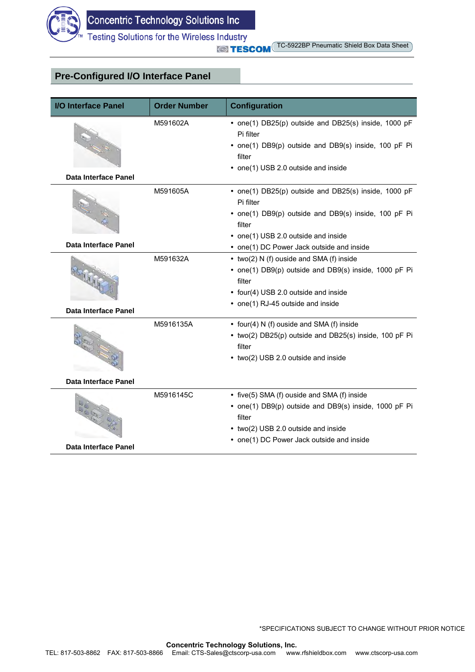

#### **Pre-Configured I/O Interface Panel**

| I/O Interface Panel                   | <b>Order Number</b> | <b>Configuration</b>                                                                                                                                                                               |  |
|---------------------------------------|---------------------|----------------------------------------------------------------------------------------------------------------------------------------------------------------------------------------------------|--|
|                                       | M591602A            | • one(1) DB25(p) outside and DB25(s) inside, 1000 pF<br>Pi filter<br>• one(1) DB9(p) outside and DB9(s) inside, 100 pF Pi<br>filter<br>• one(1) USB 2.0 outside and inside                         |  |
| Data Interface Panel                  |                     |                                                                                                                                                                                                    |  |
|                                       | M591605A            | • one(1) DB25(p) outside and DB25(s) inside, 1000 pF<br>Pi filter<br>• one(1) DB9(p) outside and DB9(s) inside, 100 pF Pi<br>filter<br>• one(1) USB 2.0 outside and inside                         |  |
| <b>Data Interface Panel</b>           |                     | • one(1) DC Power Jack outside and inside                                                                                                                                                          |  |
| <b>BOTTER</b><br>Data Interface Panel | M591632A            | • two(2) N (f) ouside and SMA (f) inside<br>• one(1) DB9(p) outside and DB9(s) inside, 1000 pF Pi<br>filter<br>• four(4) USB 2.0 outside and inside<br>• one(1) RJ-45 outside and inside           |  |
|                                       |                     |                                                                                                                                                                                                    |  |
|                                       | M5916135A           | • four(4) N (f) ouside and SMA (f) inside<br>• two(2) DB25(p) outside and DB25(s) inside, 100 pF Pi<br>filter<br>• two(2) USB 2.0 outside and inside                                               |  |
| Data Interface Panel                  |                     |                                                                                                                                                                                                    |  |
| REE E<br>Data Interface Panel         | M5916145C           | • five(5) SMA (f) ouside and SMA (f) inside<br>• one(1) DB9(p) outside and DB9(s) inside, 1000 pF Pi<br>filter<br>• two(2) USB 2.0 outside and inside<br>• one(1) DC Power Jack outside and inside |  |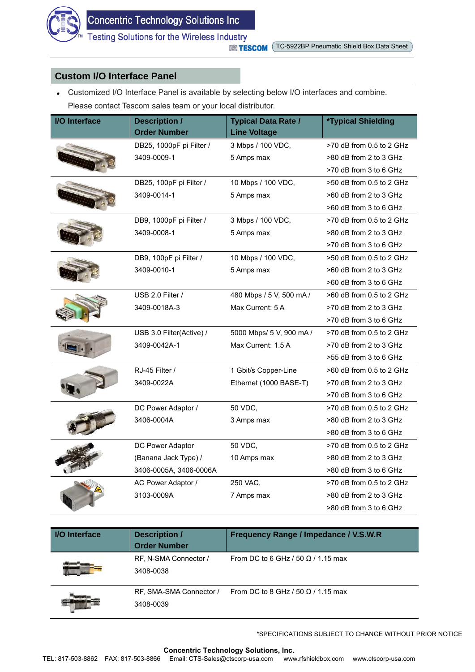

#### **Custom I/O Interface Panel**

 Customized I/O Interface Panel is available by selecting below I/O interfaces and combine. Please contact Tescom sales team or your local distributor.

| <b>I/O</b> Interface | <b>Description /</b><br><b>Order Number</b> | <b>Typical Data Rate /</b><br><b>Line Voltage</b> | <b>*Typical Shielding</b> |
|----------------------|---------------------------------------------|---------------------------------------------------|---------------------------|
|                      | DB25, 1000pF pi Filter /                    | 3 Mbps / 100 VDC,                                 | >70 dB from 0.5 to 2 GHz  |
|                      | 3409-0009-1                                 | 5 Amps max                                        | >80 dB from 2 to 3 GHz    |
|                      |                                             |                                                   | >70 dB from 3 to 6 GHz    |
|                      | DB25, 100pF pi Filter /                     | 10 Mbps / 100 VDC,                                | >50 dB from 0.5 to 2 GHz  |
|                      | 3409-0014-1                                 | 5 Amps max                                        | >60 dB from 2 to 3 GHz    |
|                      |                                             |                                                   | >60 dB from 3 to 6 GHz    |
|                      | DB9, 1000pF pi Filter /                     | 3 Mbps / 100 VDC,                                 | >70 dB from 0.5 to 2 GHz  |
|                      | 3409-0008-1                                 | 5 Amps max                                        | >80 dB from 2 to 3 GHz    |
|                      |                                             |                                                   | >70 dB from 3 to 6 GHz    |
|                      | DB9, 100pF pi Filter /                      | 10 Mbps / 100 VDC,                                | >50 dB from 0.5 to 2 GHz  |
|                      | 3409-0010-1                                 | 5 Amps max                                        | >60 dB from 2 to 3 GHz    |
|                      |                                             |                                                   | >60 dB from 3 to 6 GHz    |
|                      | USB 2.0 Filter /                            | 480 Mbps / 5 V, 500 mA /                          | >60 dB from 0.5 to 2 GHz  |
|                      | 3409-0018A-3                                | Max Current: 5 A                                  | >70 dB from 2 to 3 GHz    |
|                      |                                             |                                                   | >70 dB from 3 to 6 GHz    |
|                      | USB 3.0 Filter(Active) /                    | 5000 Mbps/ 5 V, 900 mA /                          | >70 dB from 0.5 to 2 GHz  |
|                      | 3409-0042A-1                                | Max Current: 1.5 A                                | >70 dB from 2 to 3 GHz    |
|                      |                                             |                                                   | >55 dB from 3 to 6 GHz    |
|                      | RJ-45 Filter /                              | 1 Gbit/s Copper-Line                              | >60 dB from 0.5 to 2 GHz  |
|                      | 3409-0022A                                  | Ethernet (1000 BASE-T)                            | >70 dB from 2 to 3 GHz    |
|                      |                                             |                                                   | >70 dB from 3 to 6 GHz    |
|                      | DC Power Adaptor /                          | 50 VDC,                                           | >70 dB from 0.5 to 2 GHz  |
|                      | 3406-0004A                                  | 3 Amps max                                        | >80 dB from 2 to 3 GHz    |
|                      |                                             |                                                   | >80 dB from 3 to 6 GHz    |
|                      | DC Power Adaptor                            | 50 VDC,                                           | >70 dB from 0.5 to 2 GHz  |
|                      | (Banana Jack Type) /                        | 10 Amps max                                       | >80 dB from 2 to 3 GHz    |
|                      | 3406-0005A, 3406-0006A                      |                                                   | >80 dB from 3 to 6 GHz    |
|                      | AC Power Adaptor /                          | 250 VAC,                                          | >70 dB from 0.5 to 2 GHz  |
|                      | 3103-0009A                                  | 7 Amps max                                        | >80 dB from 2 to 3 GHz    |
|                      |                                             |                                                   | >80 dB from 3 to 6 GHz    |

| <b>I/O</b> Interface | <b>Description /</b><br><b>Order Number</b> | Frequency Range / Impedance / V.S.W.R     |
|----------------------|---------------------------------------------|-------------------------------------------|
|                      | RF, N-SMA Connector /<br>3408-0038          | From DC to 6 GHz / 50 $\Omega$ / 1.15 max |
|                      | RF, SMA-SMA Connector /<br>3408-0039        | From DC to 8 GHz / 50 $\Omega$ / 1.15 max |

\*SPECIFICATIONS SUBJECT TO CHANGE WITHOUT PRIOR NOTICE